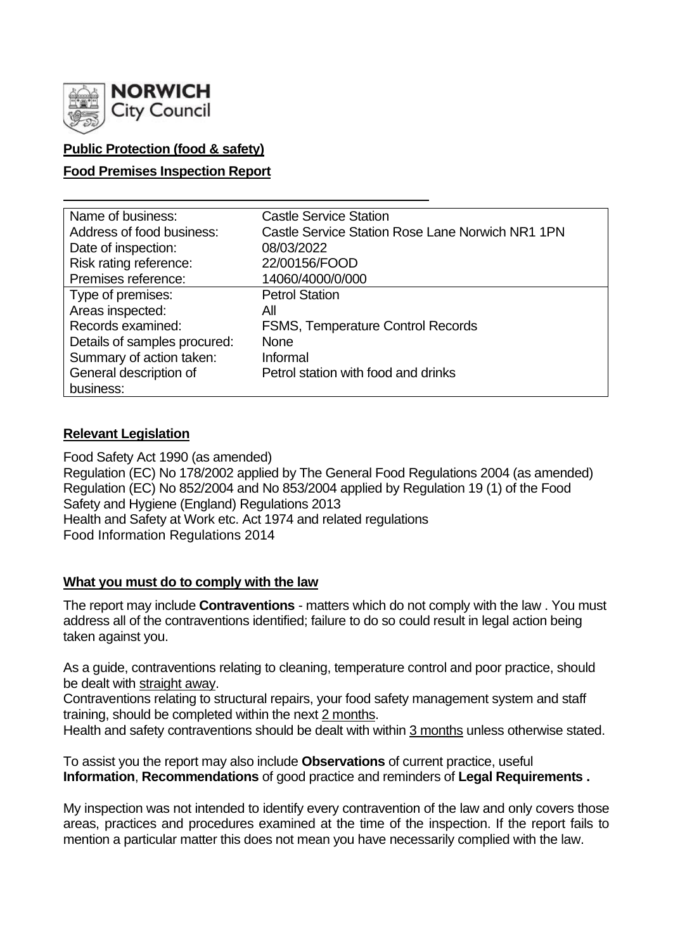

# **Public Protection (food & safety)**

### **Food Premises Inspection Report**

| Name of business:            | <b>Castle Service Station</b>                    |
|------------------------------|--------------------------------------------------|
| Address of food business:    | Castle Service Station Rose Lane Norwich NR1 1PN |
| Date of inspection:          | 08/03/2022                                       |
| Risk rating reference:       | 22/00156/FOOD                                    |
| Premises reference:          | 14060/4000/0/000                                 |
| Type of premises:            | <b>Petrol Station</b>                            |
| Areas inspected:             | All                                              |
| Records examined:            | <b>FSMS, Temperature Control Records</b>         |
| Details of samples procured: | <b>None</b>                                      |
| Summary of action taken:     | Informal                                         |
| General description of       | Petrol station with food and drinks              |
| business:                    |                                                  |

#### **Relevant Legislation**

Food Safety Act 1990 (as amended) Regulation (EC) No 178/2002 applied by The General Food Regulations 2004 (as amended) Regulation (EC) No 852/2004 and No 853/2004 applied by Regulation 19 (1) of the Food Safety and Hygiene (England) Regulations 2013 Health and Safety at Work etc. Act 1974 and related regulations Food Information Regulations 2014

# **What you must do to comply with the law**

The report may include **Contraventions** - matters which do not comply with the law . You must address all of the contraventions identified; failure to do so could result in legal action being taken against you.

As a guide, contraventions relating to cleaning, temperature control and poor practice, should be dealt with straight away.

Contraventions relating to structural repairs, your food safety management system and staff training, should be completed within the next 2 months.

Health and safety contraventions should be dealt with within 3 months unless otherwise stated.

To assist you the report may also include **Observations** of current practice, useful **Information**, **Recommendations** of good practice and reminders of **Legal Requirements .**

My inspection was not intended to identify every contravention of the law and only covers those areas, practices and procedures examined at the time of the inspection. If the report fails to mention a particular matter this does not mean you have necessarily complied with the law.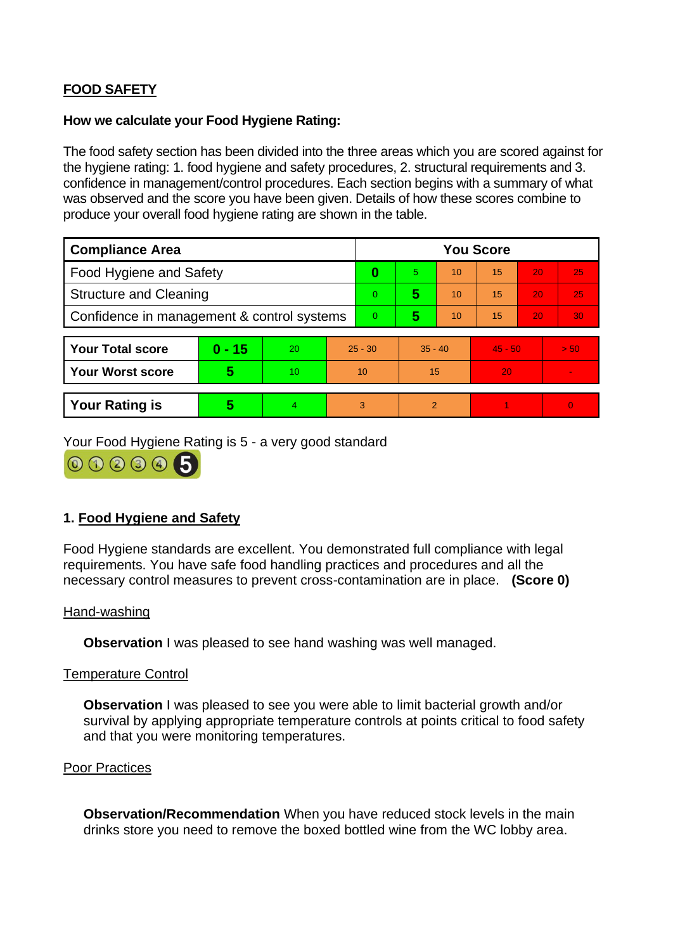# **FOOD SAFETY**

#### **How we calculate your Food Hygiene Rating:**

The food safety section has been divided into the three areas which you are scored against for the hygiene rating: 1. food hygiene and safety procedures, 2. structural requirements and 3. confidence in management/control procedures. Each section begins with a summary of what was observed and the score you have been given. Details of how these scores combine to produce your overall food hygiene rating are shown in the table.

| <b>Compliance Area</b>                     |          |    |           | <b>You Score</b> |           |    |           |    |                |  |  |
|--------------------------------------------|----------|----|-----------|------------------|-----------|----|-----------|----|----------------|--|--|
| <b>Food Hygiene and Safety</b>             |          |    |           | 0                | 5.        | 10 | 15        | 20 | 25             |  |  |
| <b>Structure and Cleaning</b>              |          |    |           | 0                | 5         | 10 | 15        | 20 | 25             |  |  |
| Confidence in management & control systems |          |    |           | 0                | 5         | 10 | 15        | 20 | 30             |  |  |
|                                            |          |    |           |                  |           |    |           |    |                |  |  |
| <b>Your Total score</b>                    | $0 - 15$ | 20 | $25 - 30$ |                  | $35 - 40$ |    | $45 - 50$ |    | > 50           |  |  |
| <b>Your Worst score</b>                    | 5        | 10 | 10        |                  | 15        |    | 20        |    |                |  |  |
|                                            |          |    |           |                  |           |    |           |    |                |  |  |
| <b>Your Rating is</b>                      | 5        | 4  |           | 3                | 2         |    |           |    | $\overline{0}$ |  |  |

Your Food Hygiene Rating is 5 - a very good standard



# **1. Food Hygiene and Safety**

Food Hygiene standards are excellent. You demonstrated full compliance with legal requirements. You have safe food handling practices and procedures and all the necessary control measures to prevent cross-contamination are in place. **(Score 0)**

#### Hand-washing

**Observation** I was pleased to see hand washing was well managed.

#### Temperature Control

**Observation I** was pleased to see you were able to limit bacterial growth and/or survival by applying appropriate temperature controls at points critical to food safety and that you were monitoring temperatures.

#### Poor Practices

**Observation/Recommendation** When you have reduced stock levels in the main drinks store you need to remove the boxed bottled wine from the WC lobby area.